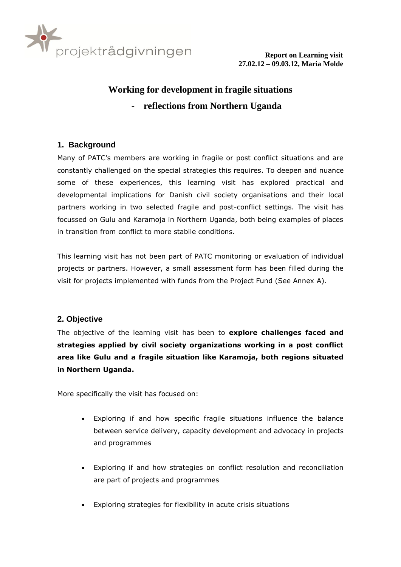

# **Working for development in fragile situations** - **reflections from Northern Uganda**

# **1. Background**

Many of PATC's members are working in fragile or post conflict situations and are constantly challenged on the special strategies this requires. To deepen and nuance some of these experiences, this learning visit has explored practical and developmental implications for Danish civil society organisations and their local partners working in two selected fragile and post-conflict settings. The visit has focussed on Gulu and Karamoja in Northern Uganda, both being examples of places in transition from conflict to more stabile conditions.

This learning visit has not been part of PATC monitoring or evaluation of individual projects or partners. However, a small assessment form has been filled during the visit for projects implemented with funds from the Project Fund (See Annex A).

## **2. Objective**

The objective of the learning visit has been to **explore challenges faced and strategies applied by civil society organizations working in a post conflict area like Gulu and a fragile situation like Karamoja, both regions situated in Northern Uganda.** 

More specifically the visit has focused on:

- Exploring if and how specific fragile situations influence the balance between service delivery, capacity development and advocacy in projects and programmes
- Exploring if and how strategies on conflict resolution and reconciliation are part of projects and programmes
- Exploring strategies for flexibility in acute crisis situations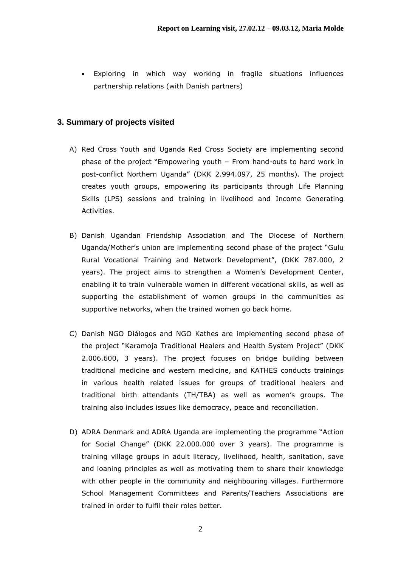Exploring in which way working in fragile situations influences partnership relations (with Danish partners)

## **3. Summary of projects visited**

- A) Red Cross Youth and Uganda Red Cross Society are implementing second phase of the project "Empowering youth – From hand-outs to hard work in post-conflict Northern Uganda" (DKK 2.994.097, 25 months). The project creates youth groups, empowering its participants through Life Planning Skills (LPS) sessions and training in livelihood and Income Generating Activities.
- B) Danish Ugandan Friendship Association and The Diocese of Northern Uganda/Mother's union are implementing second phase of the project "Gulu Rural Vocational Training and Network Development", (DKK 787.000, 2 years). The project aims to strengthen a Women's Development Center, enabling it to train vulnerable women in different vocational skills, as well as supporting the establishment of women groups in the communities as supportive networks, when the trained women go back home.
- C) Danish NGO Diálogos and NGO Kathes are implementing second phase of the project "Karamoja Traditional Healers and Health System Project" (DKK 2.006.600, 3 years). The project focuses on bridge building between traditional medicine and western medicine, and KATHES conducts trainings in various health related issues for groups of traditional healers and traditional birth attendants (TH/TBA) as well as women's groups. The training also includes issues like democracy, peace and reconciliation.
- D) ADRA Denmark and ADRA Uganda are implementing the programme "Action for Social Change" (DKK 22.000.000 over 3 years). The programme is training village groups in adult literacy, livelihood, health, sanitation, save and loaning principles as well as motivating them to share their knowledge with other people in the community and neighbouring villages. Furthermore School Management Committees and Parents/Teachers Associations are trained in order to fulfil their roles better.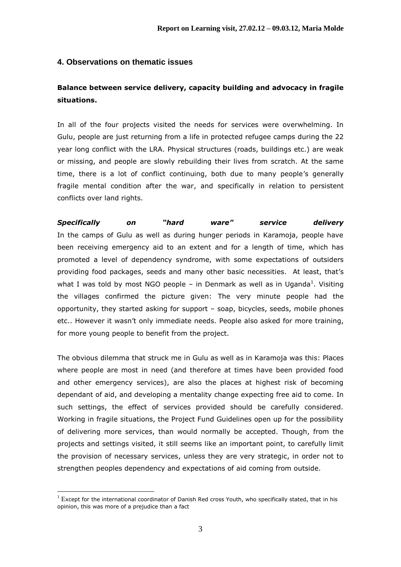## **4. Observations on thematic issues**

# **Balance between service delivery, capacity building and advocacy in fragile situations.**

In all of the four projects visited the needs for services were overwhelming. In Gulu, people are just returning from a life in protected refugee camps during the 22 year long conflict with the LRA. Physical structures (roads, buildings etc.) are weak or missing, and people are slowly rebuilding their lives from scratch. At the same time, there is a lot of conflict continuing, both due to many people's generally fragile mental condition after the war, and specifically in relation to persistent conflicts over land rights.

*Specifically on "hard ware" service delivery* In the camps of Gulu as well as during hunger periods in Karamoja, people have been receiving emergency aid to an extent and for a length of time, which has promoted a level of dependency syndrome, with some expectations of outsiders providing food packages, seeds and many other basic necessities. At least, that's what I was told by most NGO people – in Denmark as well as in Uganda<sup>1</sup>. Visiting the villages confirmed the picture given: The very minute people had the opportunity, they started asking for support – soap, bicycles, seeds, mobile phones etc.. However it wasn't only immediate needs. People also asked for more training, for more young people to benefit from the project.

The obvious dilemma that struck me in Gulu as well as in Karamoja was this: Places where people are most in need (and therefore at times have been provided food and other emergency services), are also the places at highest risk of becoming dependant of aid, and developing a mentality change expecting free aid to come. In such settings, the effect of services provided should be carefully considered. Working in fragile situations, the Project Fund Guidelines open up for the possibility of delivering more services, than would normally be accepted. Though, from the projects and settings visited, it still seems like an important point, to carefully limit the provision of necessary services, unless they are very strategic, in order not to strengthen peoples dependency and expectations of aid coming from outside.

1

 $1$  Except for the international coordinator of Danish Red cross Youth, who specifically stated, that in his opinion, this was more of a prejudice than a fact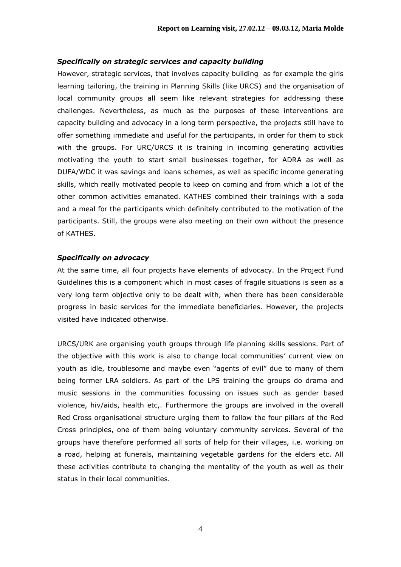### *Specifically on strategic services and capacity building*

However, strategic services, that involves capacity building as for example the girls learning tailoring, the training in Planning Skills (like URCS) and the organisation of local community groups all seem like relevant strategies for addressing these challenges. Nevertheless, as much as the purposes of these interventions are capacity building and advocacy in a long term perspective, the projects still have to offer something immediate and useful for the participants, in order for them to stick with the groups. For URC/URCS it is training in incoming generating activities motivating the youth to start small businesses together, for ADRA as well as DUFA/WDC it was savings and loans schemes, as well as specific income generating skills, which really motivated people to keep on coming and from which a lot of the other common activities emanated. KATHES combined their trainings with a soda and a meal for the participants which definitely contributed to the motivation of the participants. Still, the groups were also meeting on their own without the presence of KATHES.

### *Specifically on advocacy*

At the same time, all four projects have elements of advocacy. In the Project Fund Guidelines this is a component which in most cases of fragile situations is seen as a very long term objective only to be dealt with, when there has been considerable progress in basic services for the immediate beneficiaries. However, the projects visited have indicated otherwise.

URCS/URK are organising youth groups through life planning skills sessions. Part of the objective with this work is also to change local communities' current view on youth as idle, troublesome and maybe even "agents of evil" due to many of them being former LRA soldiers. As part of the LPS training the groups do drama and music sessions in the communities focussing on issues such as gender based violence, hiv/aids, health etc,. Furthermore the groups are involved in the overall Red Cross organisational structure urging them to follow the four pillars of the Red Cross principles, one of them being voluntary community services. Several of the groups have therefore performed all sorts of help for their villages, i.e. working on a road, helping at funerals, maintaining vegetable gardens for the elders etc. All these activities contribute to changing the mentality of the youth as well as their status in their local communities.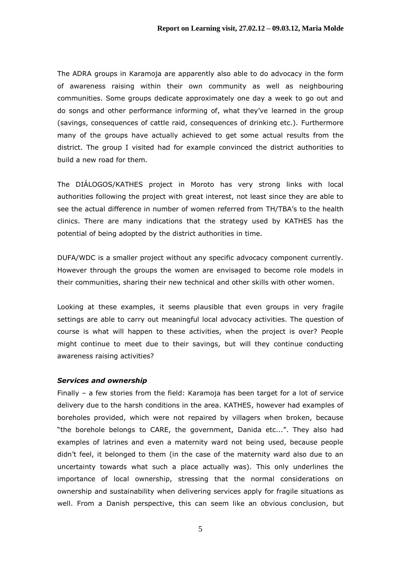The ADRA groups in Karamoja are apparently also able to do advocacy in the form of awareness raising within their own community as well as neighbouring communities. Some groups dedicate approximately one day a week to go out and do songs and other performance informing of, what they've learned in the group (savings, consequences of cattle raid, consequences of drinking etc.). Furthermore many of the groups have actually achieved to get some actual results from the district. The group I visited had for example convinced the district authorities to build a new road for them.

The DIÁLOGOS/KATHES project in Moroto has very strong links with local authorities following the project with great interest, not least since they are able to see the actual difference in number of women referred from TH/TBA's to the health clinics. There are many indications that the strategy used by KATHES has the potential of being adopted by the district authorities in time.

DUFA/WDC is a smaller project without any specific advocacy component currently. However through the groups the women are envisaged to become role models in their communities, sharing their new technical and other skills with other women.

Looking at these examples, it seems plausible that even groups in very fragile settings are able to carry out meaningful local advocacy activities. The question of course is what will happen to these activities, when the project is over? People might continue to meet due to their savings, but will they continue conducting awareness raising activities?

#### *Services and ownership*

Finally – a few stories from the field: Karamoja has been target for a lot of service delivery due to the harsh conditions in the area. KATHES, however had examples of boreholes provided, which were not repaired by villagers when broken, because "the borehole belongs to CARE, the government, Danida etc...". They also had examples of latrines and even a maternity ward not being used, because people didn't feel, it belonged to them (in the case of the maternity ward also due to an uncertainty towards what such a place actually was). This only underlines the importance of local ownership, stressing that the normal considerations on ownership and sustainability when delivering services apply for fragile situations as well. From a Danish perspective, this can seem like an obvious conclusion, but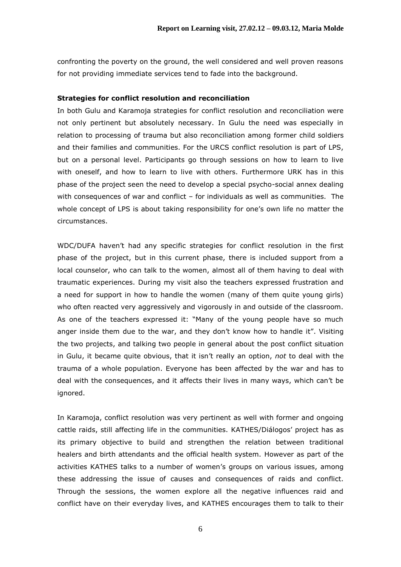confronting the poverty on the ground, the well considered and well proven reasons for not providing immediate services tend to fade into the background.

### **Strategies for conflict resolution and reconciliation**

In both Gulu and Karamoja strategies for conflict resolution and reconciliation were not only pertinent but absolutely necessary. In Gulu the need was especially in relation to processing of trauma but also reconciliation among former child soldiers and their families and communities. For the URCS conflict resolution is part of LPS, but on a personal level. Participants go through sessions on how to learn to live with oneself, and how to learn to live with others. Furthermore URK has in this phase of the project seen the need to develop a special psycho-social annex dealing with consequences of war and conflict – for individuals as well as communities. The whole concept of LPS is about taking responsibility for one's own life no matter the circumstances.

WDC/DUFA haven't had any specific strategies for conflict resolution in the first phase of the project, but in this current phase, there is included support from a local counselor, who can talk to the women, almost all of them having to deal with traumatic experiences. During my visit also the teachers expressed frustration and a need for support in how to handle the women (many of them quite young girls) who often reacted very aggressively and vigorously in and outside of the classroom. As one of the teachers expressed it: "Many of the young people have so much anger inside them due to the war, and they don't know how to handle it". Visiting the two projects, and talking two people in general about the post conflict situation in Gulu, it became quite obvious, that it isn't really an option, *not* to deal with the trauma of a whole population. Everyone has been affected by the war and has to deal with the consequences, and it affects their lives in many ways, which can't be ignored.

In Karamoja, conflict resolution was very pertinent as well with former and ongoing cattle raids, still affecting life in the communities. KATHES/Diálogos' project has as its primary objective to build and strengthen the relation between traditional healers and birth attendants and the official health system. However as part of the activities KATHES talks to a number of women's groups on various issues, among these addressing the issue of causes and consequences of raids and conflict. Through the sessions, the women explore all the negative influences raid and conflict have on their everyday lives, and KATHES encourages them to talk to their

6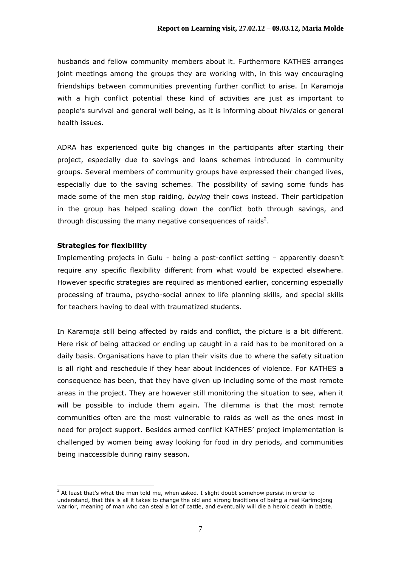husbands and fellow community members about it. Furthermore KATHES arranges joint meetings among the groups they are working with, in this way encouraging friendships between communities preventing further conflict to arise. In Karamoja with a high conflict potential these kind of activities are just as important to people's survival and general well being, as it is informing about hiv/aids or general health issues.

ADRA has experienced quite big changes in the participants after starting their project, especially due to savings and loans schemes introduced in community groups. Several members of community groups have expressed their changed lives, especially due to the saving schemes. The possibility of saving some funds has made some of the men stop raiding, *buying* their cows instead. Their participation in the group has helped scaling down the conflict both through savings, and through discussing the many negative consequences of raids<sup>2</sup>.

### **Strategies for flexibility**

1

Implementing projects in Gulu - being a post-conflict setting – apparently doesn't require any specific flexibility different from what would be expected elsewhere. However specific strategies are required as mentioned earlier, concerning especially processing of trauma, psycho-social annex to life planning skills, and special skills for teachers having to deal with traumatized students.

In Karamoja still being affected by raids and conflict, the picture is a bit different. Here risk of being attacked or ending up caught in a raid has to be monitored on a daily basis. Organisations have to plan their visits due to where the safety situation is all right and reschedule if they hear about incidences of violence. For KATHES a consequence has been, that they have given up including some of the most remote areas in the project. They are however still monitoring the situation to see, when it will be possible to include them again. The dilemma is that the most remote communities often are the most vulnerable to raids as well as the ones most in need for project support. Besides armed conflict KATHES' project implementation is challenged by women being away looking for food in dry periods, and communities being inaccessible during rainy season.

 $^{2}$  At least that's what the men told me, when asked. I slight doubt somehow persist in order to understand, that this is all it takes to change the old and strong traditions of being a real Karimojong warrior, meaning of man who can steal a lot of cattle, and eventually will die a heroic death in battle.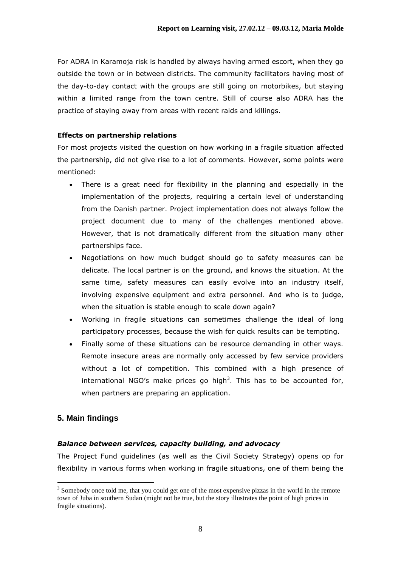For ADRA in Karamoja risk is handled by always having armed escort, when they go outside the town or in between districts. The community facilitators having most of the day-to-day contact with the groups are still going on motorbikes, but staying within a limited range from the town centre. Still of course also ADRA has the practice of staying away from areas with recent raids and killings.

## **Effects on partnership relations**

For most projects visited the question on how working in a fragile situation affected the partnership, did not give rise to a lot of comments. However, some points were mentioned:

- There is a great need for flexibility in the planning and especially in the implementation of the projects, requiring a certain level of understanding from the Danish partner. Project implementation does not always follow the project document due to many of the challenges mentioned above. However, that is not dramatically different from the situation many other partnerships face.
- Negotiations on how much budget should go to safety measures can be delicate. The local partner is on the ground, and knows the situation. At the same time, safety measures can easily evolve into an industry itself, involving expensive equipment and extra personnel. And who is to judge, when the situation is stable enough to scale down again?
- Working in fragile situations can sometimes challenge the ideal of long participatory processes, because the wish for quick results can be tempting.
- Finally some of these situations can be resource demanding in other ways. Remote insecure areas are normally only accessed by few service providers without a lot of competition. This combined with a high presence of international NGO's make prices go high<sup>3</sup>. This has to be accounted for, when partners are preparing an application.

## **5. Main findings**

1

## *Balance between services, capacity building, and advocacy*

The Project Fund guidelines (as well as the Civil Society Strategy) opens op for flexibility in various forms when working in fragile situations, one of them being the

<sup>&</sup>lt;sup>3</sup> Somebody once told me, that you could get one of the most expensive pizzas in the world in the remote town of Juba in southern Sudan (might not be true, but the story illustrates the point of high prices in fragile situations).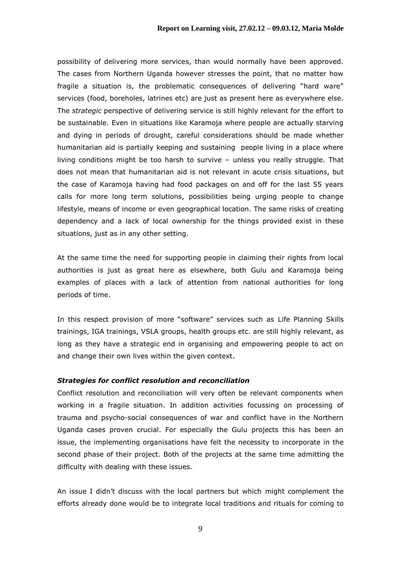possibility of delivering more services, than would normally have been approved. The cases from Northern Uganda however stresses the point, that no matter how fragile a situation is, the problematic consequences of delivering "hard ware" services (food, boreholes, latrines etc) are just as present here as everywhere else. The *strategic* perspective of delivering service is still highly relevant for the effort to be sustainable. Even in situations like Karamoja where people are actually starving and dying in periods of drought, careful considerations should be made whether humanitarian aid is partially keeping and sustaining people living in a place where living conditions might be too harsh to survive – unless you really struggle. That does not mean that humanitarian aid is not relevant in acute crisis situations, but the case of Karamoja having had food packages on and off for the last 55 years calls for more long term solutions, possibilities being urging people to change lifestyle, means of income or even geographical location. The same risks of creating dependency and a lack of local ownership for the things provided exist in these situations, just as in any other setting.

At the same time the need for supporting people in claiming their rights from local authorities is just as great here as elsewhere, both Gulu and Karamoja being examples of places with a lack of attention from national authorities for long periods of time.

In this respect provision of more "software" services such as Life Planning Skills trainings, IGA trainings, VSLA groups, health groups etc. are still highly relevant, as long as they have a strategic end in organising and empowering people to act on and change their own lives within the given context.

#### *Strategies for conflict resolution and reconciliation*

Conflict resolution and reconciliation will very often be relevant components when working in a fragile situation. In addition activities focussing on processing of trauma and psycho-social consequences of war and conflict have in the Northern Uganda cases proven crucial. For especially the Gulu projects this has been an issue, the implementing organisations have felt the necessity to incorporate in the second phase of their project. Both of the projects at the same time admitting the difficulty with dealing with these issues.

An issue I didn't discuss with the local partners but which might complement the efforts already done would be to integrate local traditions and rituals for coming to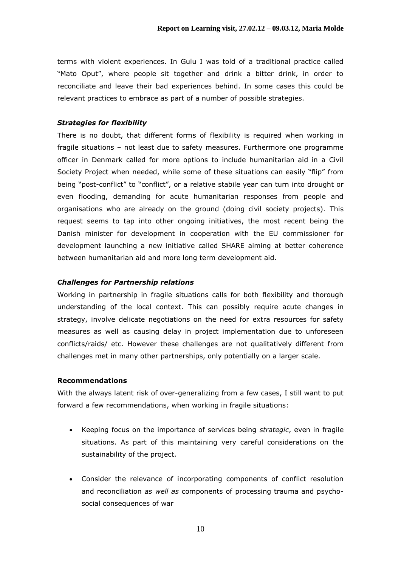terms with violent experiences. In Gulu I was told of a traditional practice called "Mato Oput", where people sit together and drink a bitter drink, in order to reconciliate and leave their bad experiences behind. In some cases this could be relevant practices to embrace as part of a number of possible strategies.

### *Strategies for flexibility*

There is no doubt, that different forms of flexibility is required when working in fragile situations – not least due to safety measures. Furthermore one programme officer in Denmark called for more options to include humanitarian aid in a Civil Society Project when needed, while some of these situations can easily "flip" from being "post-conflict" to "conflict", or a relative stabile year can turn into drought or even flooding, demanding for acute humanitarian responses from people and organisations who are already on the ground (doing civil society projects). This request seems to tap into other ongoing initiatives, the most recent being the Danish minister for development in cooperation with the EU commissioner for development launching a new initiative called SHARE aiming at better coherence between humanitarian aid and more long term development aid.

#### *Challenges for Partnership relations*

Working in partnership in fragile situations calls for both flexibility and thorough understanding of the local context. This can possibly require acute changes in strategy, involve delicate negotiations on the need for extra resources for safety measures as well as causing delay in project implementation due to unforeseen conflicts/raids/ etc. However these challenges are not qualitatively different from challenges met in many other partnerships, only potentially on a larger scale.

#### **Recommendations**

With the always latent risk of over-generalizing from a few cases, I still want to put forward a few recommendations, when working in fragile situations:

- Keeping focus on the importance of services being *strategic*, even in fragile situations. As part of this maintaining very careful considerations on the sustainability of the project.
- Consider the relevance of incorporating components of conflict resolution and reconciliation *as well as* components of processing trauma and psychosocial consequences of war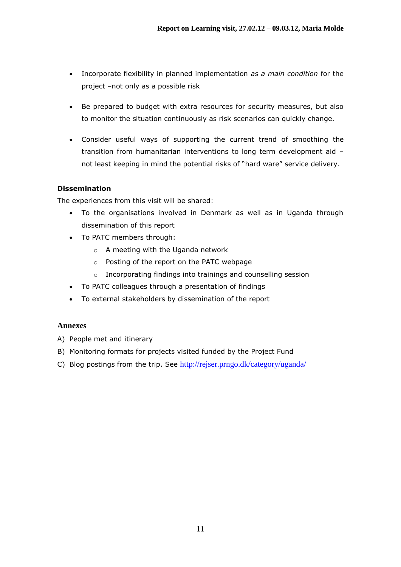- Incorporate flexibility in planned implementation *as a main condition* for the project –not only as a possible risk
- Be prepared to budget with extra resources for security measures, but also to monitor the situation continuously as risk scenarios can quickly change.
- Consider useful ways of supporting the current trend of smoothing the transition from humanitarian interventions to long term development aid – not least keeping in mind the potential risks of "hard ware" service delivery.

## **Dissemination**

The experiences from this visit will be shared:

- To the organisations involved in Denmark as well as in Uganda through dissemination of this report
- To PATC members through:
	- o A meeting with the Uganda network
	- o Posting of the report on the PATC webpage
	- o Incorporating findings into trainings and counselling session
- To PATC colleagues through a presentation of findings
- To external stakeholders by dissemination of the report

## **Annexes**

- A) People met and itinerary
- B) Monitoring formats for projects visited funded by the Project Fund
- C) Blog postings from the trip. See <http://rejser.prngo.dk/category/uganda/>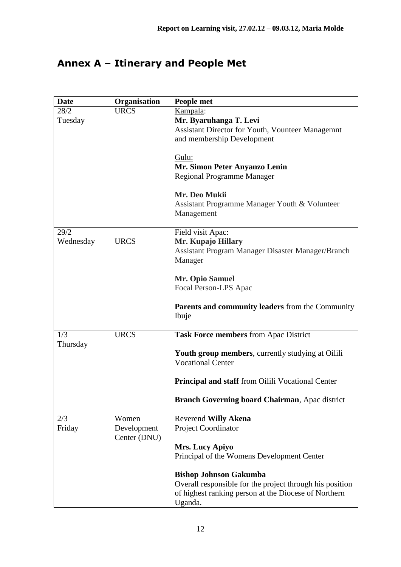# **Annex A – Itinerary and People Met**

| <b>Date</b> | Organisation | People met                                                                           |
|-------------|--------------|--------------------------------------------------------------------------------------|
| 28/2        | <b>URCS</b>  | Kampala:                                                                             |
| Tuesday     |              | Mr. Byaruhanga T. Levi                                                               |
|             |              | <b>Assistant Director for Youth, Vounteer Managemnt</b>                              |
|             |              | and membership Development                                                           |
|             |              |                                                                                      |
|             |              | Gulu:                                                                                |
|             |              | Mr. Simon Peter Anyanzo Lenin                                                        |
|             |              | <b>Regional Programme Manager</b>                                                    |
|             |              |                                                                                      |
|             |              | Mr. Deo Mukii                                                                        |
|             |              | Assistant Programme Manager Youth & Volunteer                                        |
|             |              | Management                                                                           |
|             |              |                                                                                      |
| 29/2        |              | Field visit Apac:                                                                    |
| Wednesday   | <b>URCS</b>  | Mr. Kupajo Hillary                                                                   |
|             |              | Assistant Program Manager Disaster Manager/Branch                                    |
|             |              | Manager                                                                              |
|             |              | Mr. Opio Samuel                                                                      |
|             |              | Focal Person-LPS Apac                                                                |
|             |              |                                                                                      |
|             |              | Parents and community leaders from the Community                                     |
|             |              | Ibuje                                                                                |
|             |              |                                                                                      |
| 1/3         | <b>URCS</b>  | Task Force members from Apac District                                                |
| Thursday    |              |                                                                                      |
|             |              | <b>Youth group members, currently studying at Oilili</b><br><b>Vocational Center</b> |
|             |              |                                                                                      |
|             |              | <b>Principal and staff</b> from Oilili Vocational Center                             |
|             |              |                                                                                      |
|             |              | Branch Governing board Chairman, Apac district                                       |
| 2/3         | Women        | <b>Reverend Willy Akena</b>                                                          |
| Friday      | Development  | Project Coordinator                                                                  |
|             | Center (DNU) |                                                                                      |
|             |              | Mrs. Lucy Apiyo                                                                      |
|             |              | Principal of the Womens Development Center                                           |
|             |              |                                                                                      |
|             |              | <b>Bishop Johnson Gakumba</b>                                                        |
|             |              | Overall responsible for the project through his position                             |
|             |              | of highest ranking person at the Diocese of Northern                                 |
|             |              | Uganda.                                                                              |